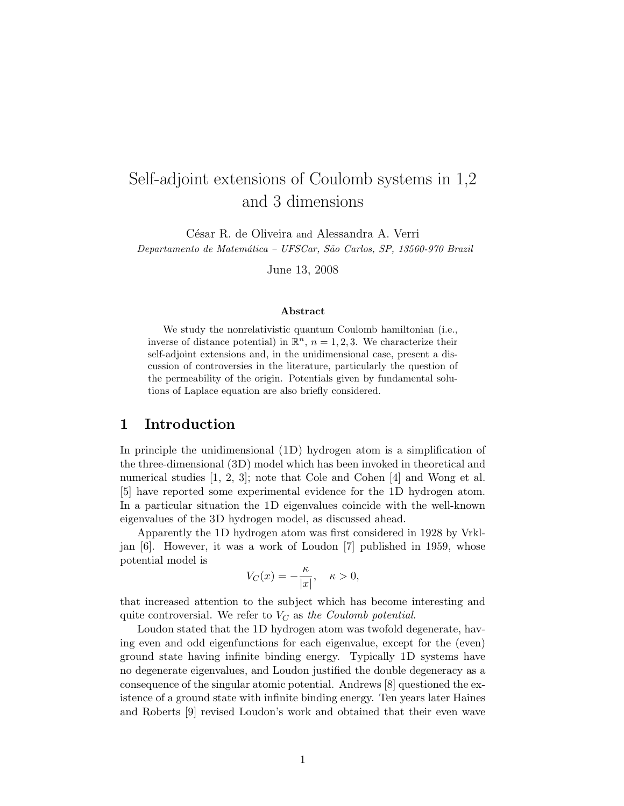# Self-adjoint extensions of Coulomb systems in 1,2 and 3 dimensions

César R. de Oliveira and Alessandra A. Verri Departamento de Matemática - UFSCar, São Carlos, SP, 13560-970 Brazil

June 13, 2008

#### Abstract

We study the nonrelativistic quantum Coulomb hamiltonian (i.e., inverse of distance potential) in  $\mathbb{R}^n$ ,  $n = 1, 2, 3$ . We characterize their self-adjoint extensions and, in the unidimensional case, present a discussion of controversies in the literature, particularly the question of the permeability of the origin. Potentials given by fundamental solutions of Laplace equation are also briefly considered.

### 1 Introduction

In principle the unidimensional (1D) hydrogen atom is a simplification of the three-dimensional (3D) model which has been invoked in theoretical and numerical studies [1, 2, 3]; note that Cole and Cohen [4] and Wong et al. [5] have reported some experimental evidence for the 1D hydrogen atom. In a particular situation the 1D eigenvalues coincide with the well-known eigenvalues of the 3D hydrogen model, as discussed ahead.

Apparently the 1D hydrogen atom was first considered in 1928 by Vrkljan [6]. However, it was a work of Loudon [7] published in 1959, whose potential model is

$$
V_C(x) = -\frac{\kappa}{|x|}, \quad \kappa > 0,
$$

that increased attention to the subject which has become interesting and quite controversial. We refer to  $V_C$  as the Coulomb potential.

Loudon stated that the 1D hydrogen atom was twofold degenerate, having even and odd eigenfunctions for each eigenvalue, except for the (even) ground state having infinite binding energy. Typically 1D systems have no degenerate eigenvalues, and Loudon justified the double degeneracy as a consequence of the singular atomic potential. Andrews [8] questioned the existence of a ground state with infinite binding energy. Ten years later Haines and Roberts [9] revised Loudon's work and obtained that their even wave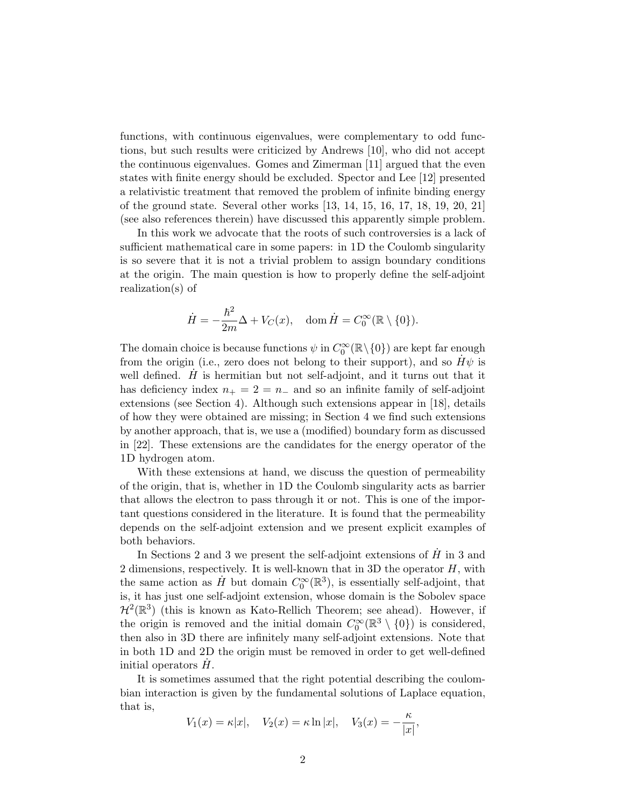functions, with continuous eigenvalues, were complementary to odd functions, but such results were criticized by Andrews [10], who did not accept the continuous eigenvalues. Gomes and Zimerman [11] argued that the even states with finite energy should be excluded. Spector and Lee [12] presented a relativistic treatment that removed the problem of infinite binding energy of the ground state. Several other works [13, 14, 15, 16, 17, 18, 19, 20, 21] (see also references therein) have discussed this apparently simple problem.

In this work we advocate that the roots of such controversies is a lack of sufficient mathematical care in some papers: in 1D the Coulomb singularity is so severe that it is not a trivial problem to assign boundary conditions at the origin. The main question is how to properly define the self-adjoint realization(s) of

$$
\dot{H} = -\frac{\hbar^2}{2m}\Delta + V_C(x), \quad \text{dom}\,\dot{H} = C_0^{\infty}(\mathbb{R}\setminus\{0\}).
$$

The domain choice is because functions  $\psi$  in  $C_0^{\infty}(\mathbb{R}\setminus\{0\})$  are kept far enough from the origin (i.e., zero does not belong to their support), and so  $H\psi$  is well defined.  $H$  is hermitian but not self-adjoint, and it turns out that it has deficiency index  $n_{+} = 2 = n_{-}$  and so an infinite family of self-adjoint extensions (see Section 4). Although such extensions appear in [18], details of how they were obtained are missing; in Section 4 we find such extensions by another approach, that is, we use a (modified) boundary form as discussed in [22]. These extensions are the candidates for the energy operator of the 1D hydrogen atom.

With these extensions at hand, we discuss the question of permeability of the origin, that is, whether in 1D the Coulomb singularity acts as barrier that allows the electron to pass through it or not. This is one of the important questions considered in the literature. It is found that the permeability depends on the self-adjoint extension and we present explicit examples of both behaviors.

In Sections 2 and 3 we present the self-adjoint extensions of  $H$  in 3 and 2 dimensions, respectively. It is well-known that in 3D the operator  $H$ , with the same action as  $\dot{H}$  but domain  $C_0^{\infty}(\mathbb{R}^3)$ , is essentially self-adjoint, that is, it has just one self-adjoint extension, whose domain is the Sobolev space  $\mathcal{H}^2(\mathbb{R}^3)$  (this is known as Kato-Rellich Theorem; see ahead). However, if the origin is removed and the initial domain  $C_0^{\infty}(\mathbb{R}^3 \setminus \{0\})$  is considered, then also in 3D there are infinitely many self-adjoint extensions. Note that in both 1D and 2D the origin must be removed in order to get well-defined initial operators  $H$ .

It is sometimes assumed that the right potential describing the coulombian interaction is given by the fundamental solutions of Laplace equation, that is,

$$
V_1(x) = \kappa |x|
$$
,  $V_2(x) = \kappa \ln |x|$ ,  $V_3(x) = -\frac{\kappa}{|x|}$ ,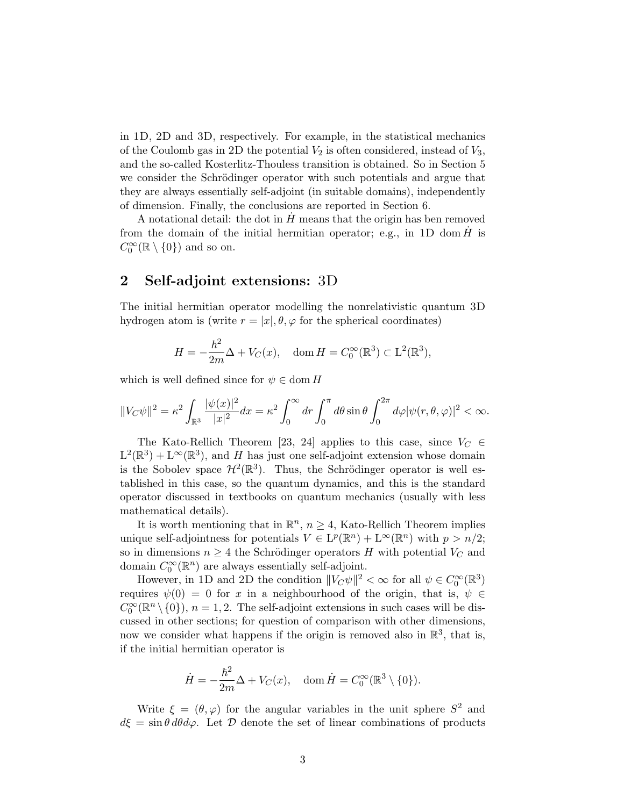in 1D, 2D and 3D, respectively. For example, in the statistical mechanics of the Coulomb gas in 2D the potential  $V_2$  is often considered, instead of  $V_3$ , and the so-called Kosterlitz-Thouless transition is obtained. So in Section 5 we consider the Schrödinger operator with such potentials and argue that they are always essentially self-adjoint (in suitable domains), independently of dimension. Finally, the conclusions are reported in Section 6.

A notational detail: the dot in  $\tilde{H}$  means that the origin has ben removed from the domain of the initial hermitian operator; e.g., in 1D dom  $\dot{H}$  is  $C_0^{\infty}(\mathbb{R}\setminus\{0\})$  and so on.

### 2 Self-adjoint extensions: 3D

The initial hermitian operator modelling the nonrelativistic quantum 3D hydrogen atom is (write  $r = |x|, \theta, \varphi$  for the spherical coordinates)

$$
H = -\frac{\hbar^2}{2m}\Delta + V_C(x), \quad \text{dom}\, H = C_0^{\infty}(\mathbb{R}^3) \subset \mathcal{L}^2(\mathbb{R}^3),
$$

which is well defined since for  $\psi \in \text{dom } H$ 

$$
||V_C\psi||^2 = \kappa^2 \int_{\mathbb{R}^3} \frac{|\psi(x)|^2}{|x|^2} dx = \kappa^2 \int_0^\infty dr \int_0^\pi d\theta \sin\theta \int_0^{2\pi} d\varphi |\psi(r,\theta,\varphi)|^2 < \infty.
$$

The Kato-Rellich Theorem [23, 24] applies to this case, since  $V_C \in$  $L^2(\mathbb{R}^3) + L^{\infty}(\mathbb{R}^3)$ , and H has just one self-adjoint extension whose domain is the Sobolev space  $\mathcal{H}^2(\mathbb{R}^3)$ . Thus, the Schrödinger operator is well established in this case, so the quantum dynamics, and this is the standard operator discussed in textbooks on quantum mechanics (usually with less mathematical details).

It is worth mentioning that in  $\mathbb{R}^n$ ,  $n \geq 4$ , Kato-Rellich Theorem implies unique self-adjointness for potentials  $V \in L^p(\mathbb{R}^n) + L^{\infty}(\mathbb{R}^n)$  with  $p > n/2$ ; so in dimensions  $n \geq 4$  the Schrödinger operators H with potential  $V_C$  and domain  $C_0^{\infty}(\mathbb{R}^n)$  are always essentially self-adjoint.

However, in 1D and 2D the condition  $||V_C \psi||^2 < \infty$  for all  $\psi \in C_0^{\infty}(\mathbb{R}^3)$ requires  $\psi(0) = 0$  for x in a neighbourhood of the origin, that is,  $\psi \in$  $C_0^{\infty}(\mathbb{R}^n \setminus \{0\}), n = 1, 2$ . The self-adjoint extensions in such cases will be discussed in other sections; for question of comparison with other dimensions, now we consider what happens if the origin is removed also in  $\mathbb{R}^3$ , that is, if the initial hermitian operator is

$$
\dot{H} = -\frac{\hbar^2}{2m}\Delta + V_C(x), \quad \text{dom}\,\dot{H} = C_0^{\infty}(\mathbb{R}^3 \setminus \{0\}).
$$

Write  $\xi = (\theta, \varphi)$  for the angular variables in the unit sphere  $S^2$  and  $d\xi = \sin \theta \, d\theta d\varphi$ . Let  $\mathcal D$  denote the set of linear combinations of products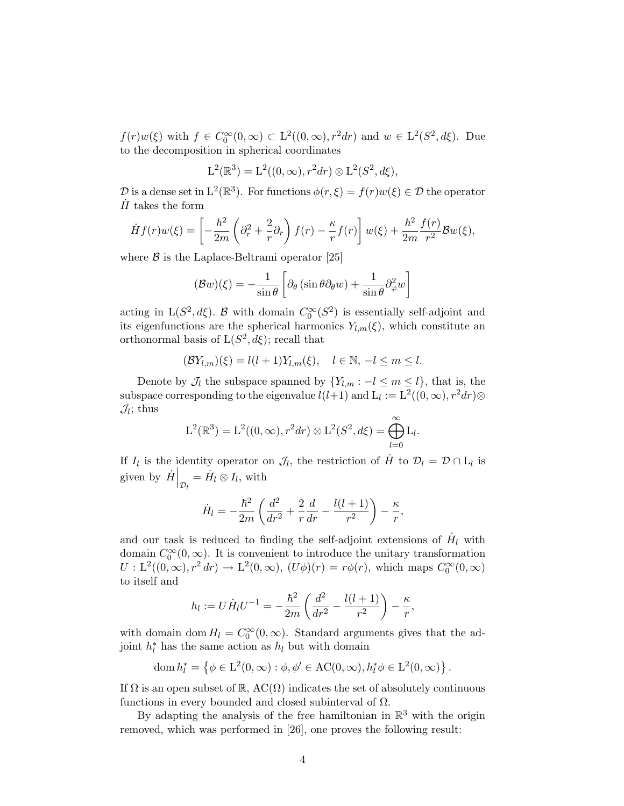$f(r)w(\xi)$  with  $f \in C_0^{\infty}(0, \infty) \subset L^2((0, \infty), r^2 dr)$  and  $w \in L^2(S^2, d\xi)$ . Due to the decomposition in spherical coordinates

$$
L^{2}(\mathbb{R}^{3}) = L^{2}((0, \infty), r^{2}dr) \otimes L^{2}(S^{2}, d\xi),
$$

 $\mathcal D$  is a dense set in  $L^2(\mathbb{R}^3)$ . For functions  $\phi(r,\xi) = f(r)w(\xi) \in \mathcal D$  the operator  $H$  takes the form

$$
\dot{H}f(r)w(\xi) = \left[ -\frac{\hbar^2}{2m} \left( \partial_r^2 + \frac{2}{r} \partial_r \right) f(r) - \frac{\kappa}{r} f(r) \right] w(\xi) + \frac{\hbar^2}{2m} \frac{f(r)}{r^2} \mathcal{B}w(\xi),
$$

where  $\beta$  is the Laplace-Beltrami operator [25]

$$
(\mathcal{B}w)(\xi) = -\frac{1}{\sin\theta} \left[ \partial_{\theta} \left( \sin\theta \partial_{\theta} w \right) + \frac{1}{\sin\theta} \partial_{\varphi}^{2} w \right]
$$

acting in  $L(S^2, d\xi)$ . B with domain  $C_0^{\infty}(S^2)$  is essentially self-adjoint and its eigenfunctions are the spherical harmonics  $Y_{l,m}(\xi)$ , which constitute an orthonormal basis of  $L(S^2, d\xi)$ ; recall that

$$
(\mathcal{B}Y_{l,m})(\xi) = l(l+1)Y_{l,m}(\xi), \quad l \in \mathbb{N}, \ -l \le m \le l.
$$

Denote by  $\mathcal{J}_l$  the subspace spanned by  $\{Y_{l,m} : -l \leq m \leq l\}$ , that is, the subspace corresponding to the eigenvalue  $l(l+1)$  and  $L_l := L^2((0,\infty), r^2dr)$  $\mathcal{J}_l$ ; thus

$$
L^{2}(\mathbb{R}^{3}) = L^{2}((0, \infty), r^{2}dr) \otimes L^{2}(S^{2}, d\xi) = \bigoplus_{l=0}^{\infty} L_{l}.
$$

If  $I_l$  is the identity operator on  $\mathcal{J}_l$ , the restriction of  $\dot{H}$  to  $\mathcal{D}_l = \mathcal{D} \cap L_l$  is given by  $\dot{H}\Big|_{\mathcal{D}_l} = \dot{H}_l \otimes I_l$ , with

$$
\dot{H}_{l} = -\frac{\hbar^{2}}{2m} \left( \frac{d^{2}}{dr^{2}} + \frac{2}{r} \frac{d}{dr} - \frac{l(l+1)}{r^{2}} \right) - \frac{\kappa}{r},
$$

and our task is reduced to finding the self-adjoint extensions of  $H<sub>l</sub>$  with domain  $C_0^{\infty}(0,\infty)$ . It is convenient to introduce the unitary transformation  $U: L^2((0,\infty), r^2 dr) \to L^2(0,\infty), (U\phi)(r) = r\phi(r)$ , which maps  $C_0^{\infty}(0,\infty)$ to itself and

$$
h_l := U \dot{H}_l U^{-1} = -\frac{\hbar^2}{2m} \left( \frac{d^2}{dr^2} - \frac{l(l+1)}{r^2} \right) - \frac{\kappa}{r},
$$

with domain dom  $H_l = C_0^{\infty}(0, \infty)$ . Standard arguments gives that the adjoint  $h_l^*$  has the same action as  $h_l$  but with domain

$$
\operatorname{dom} h_l^* = \left\{ \phi \in \mathcal{L}^2(0, \infty) : \phi, \phi' \in \operatorname{AC}(0, \infty), h_l^* \phi \in \mathcal{L}^2(0, \infty) \right\}.
$$

If  $\Omega$  is an open subset of  $\mathbb{R}$ , AC( $\Omega$ ) indicates the set of absolutely continuous functions in every bounded and closed subinterval of  $\Omega$ .

By adapting the analysis of the free hamiltonian in  $\mathbb{R}^3$  with the origin removed, which was performed in [26], one proves the following result: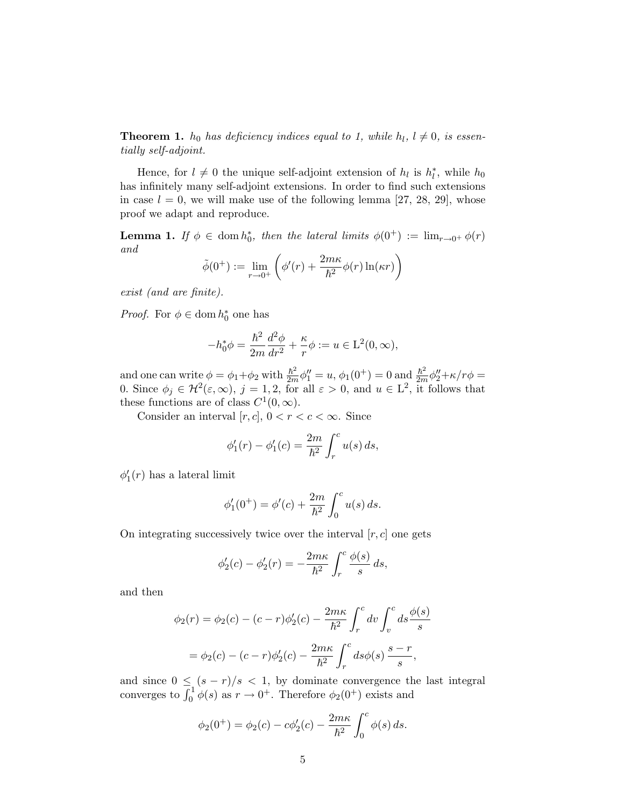**Theorem 1.**  $h_0$  has deficiency indices equal to 1, while  $h_l$ ,  $l \neq 0$ , is essentially self-adjoint.

Hence, for  $l \neq 0$  the unique self-adjoint extension of  $h_l$  is  $h_l^*$ , while  $h_0$ has infinitely many self-adjoint extensions. In order to find such extensions in case  $l = 0$ , we will make use of the following lemma [27, 28, 29], whose proof we adapt and reproduce.

**Lemma 1.** If  $\phi \in \text{dom } h_0^*$ , then the lateral limits  $\phi(0^+) := \lim_{r \to 0^+} \phi(r)$ and  $\sqrt{2}$  $\overline{a}$ 

$$
\tilde{\phi}(0^+):=\lim_{r\to 0^+}\left(\phi'(r)+\frac{2m\kappa}{\hbar^2}\phi(r)\ln(\kappa r)\right)
$$

exist (and are finite).

*Proof.* For  $\phi \in \text{dom } h_0^*$  one has

$$
-h_0^*\phi = \frac{\hbar^2}{2m}\frac{d^2\phi}{dr^2} + \frac{\kappa}{r}\phi := u \in \mathcal{L}^2(0,\infty),
$$

and one can write  $\phi = \phi_1 + \phi_2$  with  $\frac{\hbar^2}{2m}\phi_1'' = u$ ,  $\phi_1(0^+) = 0$  and  $\frac{\hbar^2}{2m}\phi_2'' + \kappa/r\phi =$ 0. Since  $\phi_j \in \mathcal{H}^2(\varepsilon,\infty)$ ,  $j=1,2$ , for all  $\varepsilon > 0$ , and  $u \in L^2$ , it follows that these functions are of class  $C^1(0,\infty)$ .

Consider an interval  $[r, c]$ ,  $0 < r < c < \infty$ . Since

$$
\phi'_1(r) - \phi'_1(c) = \frac{2m}{\hbar^2} \int_r^c u(s) \, ds,
$$

 $\phi_1'(r)$  has a lateral limit

$$
\phi_1'(0^+) = \phi'(c) + \frac{2m}{\hbar^2} \int_0^c u(s) \, ds.
$$

On integrating successively twice over the interval  $[r, c]$  one gets

$$
\phi_2'(c) - \phi_2'(r) = -\frac{2m\kappa}{\hbar^2} \int_r^c \frac{\phi(s)}{s} ds,
$$

and then

$$
\phi_2(r) = \phi_2(c) - (c - r)\phi'_2(c) - \frac{2m\kappa}{\hbar^2} \int_r^c dv \int_v^c ds \frac{\phi(s)}{s}
$$

$$
= \phi_2(c) - (c - r)\phi'_2(c) - \frac{2m\kappa}{\hbar^2} \int_r^c ds \phi(s) \frac{s - r}{s},
$$

and since  $0 \leq (s - r)/s < 1$ , by dominate convergence the last integral converges to  $\int_0^1 \phi(s)$  as  $r \to 0^+$ . Therefore  $\phi_2(0^+)$  exists and

$$
\phi_2(0^+) = \phi_2(c) - c\phi'_2(c) - \frac{2m\kappa}{\hbar^2} \int_0^c \phi(s) \, ds.
$$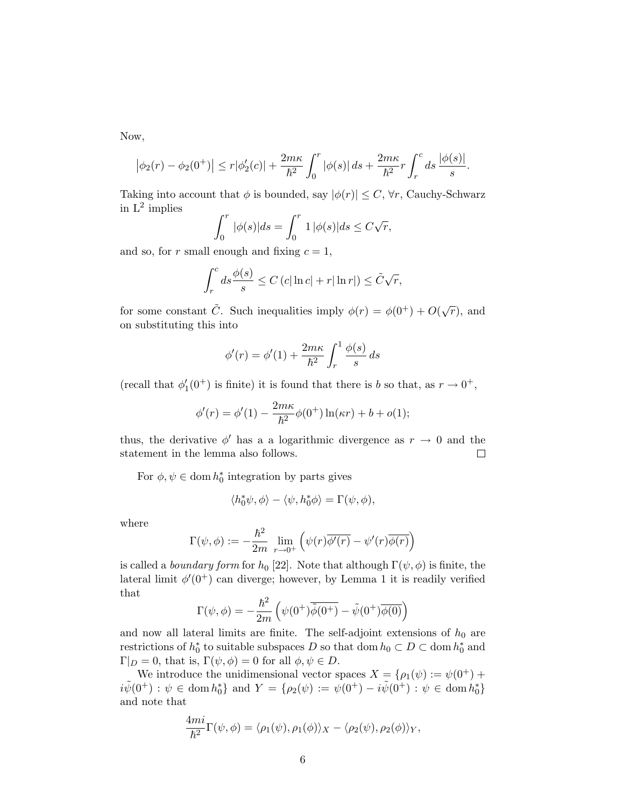Now,

$$
|\phi_2(r) - \phi_2(0^+)| \le r|\phi'_2(c)| + \frac{2m\kappa}{\hbar^2} \int_0^r |\phi(s)| ds + \frac{2m\kappa}{\hbar^2} r \int_r^c ds \frac{|\phi(s)|}{s}.
$$

Taking into account that  $\phi$  is bounded, say  $|\phi(r)| \leq C$ ,  $\forall r$ , Cauchy-Schwarz in  $L^2$  implies

$$
\int_0^r |\phi(s)|ds = \int_0^r 1 |\phi(s)|ds \le C\sqrt{r},
$$

and so, for r small enough and fixing  $c = 1$ ,

$$
\int_{r}^{c} ds \frac{\phi(s)}{s} \leq C (c |\ln c| + r |\ln r|) \leq \tilde{C}\sqrt{r},
$$

for some constant  $\tilde{C}$ . Such inequalities imply  $\phi(r) = \phi(0^+) + O(\sqrt{r})$ , and on substituting this into

$$
\phi'(r) = \phi'(1) + \frac{2m\kappa}{\hbar^2} \int_r^1 \frac{\phi(s)}{s} ds
$$

(recall that  $\phi'_1(0^+)$  is finite) it is found that there is b so that, as  $r \to 0^+,$ 

$$
\phi'(r) = \phi'(1) - \frac{2m\kappa}{\hbar^2} \phi(0^+) \ln(\kappa r) + b + o(1);
$$

thus, the derivative  $\phi'$  has a a logarithmic divergence as  $r \to 0$  and the statement in the lemma also follows. statement in the lemma also follows.

For  $\phi, \psi \in \text{dom } h_0^*$  integration by parts gives

$$
\langle h_0^*\psi, \phi \rangle - \langle \psi, h_0^*\phi \rangle = \Gamma(\psi, \phi),
$$

where

$$
\Gamma(\psi,\phi) := -\frac{\hbar^2}{2m} \lim_{r \to 0^+} \left( \psi(r) \overline{\phi'(r)} - \psi'(r) \overline{\phi(r)} \right)
$$

is called a *boundary form* for  $h_0$  [22]. Note that although  $\Gamma(\psi, \phi)$  is finite, the lateral limit  $\phi'(0^+)$  can diverge; however, by Lemma 1 it is readily verified that

$$
\Gamma(\psi,\phi) = -\frac{\hbar^2}{2m} \left( \psi(0^+) \overline{\tilde{\phi}(0^+)} - \tilde{\psi}(0^+) \overline{\phi(0)} \right)
$$

and now all lateral limits are finite. The self-adjoint extensions of  $h_0$  are restrictions of  $h_0^*$  to suitable subspaces D so that dom  $h_0 \subset D \subset \text{dom } h_0^*$  and  $\Gamma|_D = 0$ , that is,  $\Gamma(\psi, \phi) = 0$  for all  $\phi, \psi \in D$ .

We introduce the unidimensional vector spaces  $X = {\rho_1(\psi) := \psi(0^+)} +$  $i\tilde{\psi}(0^+) : \psi \in \text{dom } h_0^* \}$  and  $Y = \{ \rho_2(\psi) := \psi(0^+) - i\tilde{\psi}(0^+) : \psi \in \text{dom } h_0^* \}$ and note that

$$
\frac{4mi}{\hbar^2}\Gamma(\psi,\phi)=\langle\rho_1(\psi),\rho_1(\phi)\rangle_X-\langle\rho_2(\psi),\rho_2(\phi)\rangle_Y,
$$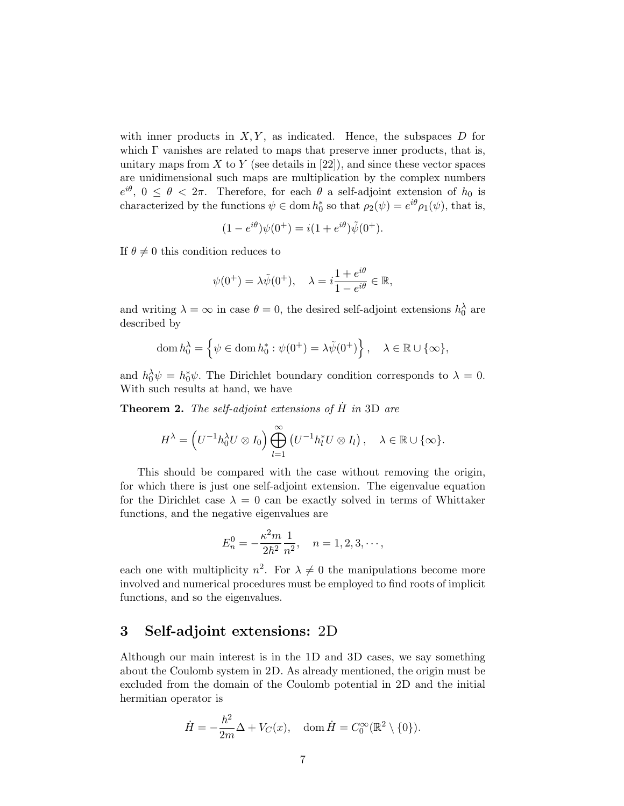with inner products in  $X, Y$ , as indicated. Hence, the subspaces D for which  $\Gamma$  vanishes are related to maps that preserve inner products, that is, unitary maps from  $X$  to  $Y$  (see details in [22]), and since these vector spaces are unidimensional such maps are multiplication by the complex numbers  $e^{i\theta}$ ,  $0 \le \theta < 2\pi$ . Therefore, for each  $\theta$  a self-adjoint extension of  $h_0$  is characterized by the functions  $\psi \in \text{dom } h_0^*$  so that  $\rho_2(\psi) = e^{i\theta} \rho_1(\psi)$ , that is,

$$
(1 - e^{i\theta})\psi(0^+) = i(1 + e^{i\theta})\tilde{\psi}(0^+).
$$

If  $\theta \neq 0$  this condition reduces to

$$
\psi(0^+) = \lambda \tilde{\psi}(0^+), \quad \lambda = i \frac{1 + e^{i\theta}}{1 - e^{i\theta}} \in \mathbb{R},
$$

and writing  $\lambda = \infty$  in case  $\theta = 0$ , the desired self-adjoint extensions  $h_0^{\lambda}$  are described by

$$
\operatorname{dom} h_0^{\lambda} = \left\{ \psi \in \operatorname{dom} h_0^* : \psi(0^+) = \lambda \tilde{\psi}(0^+) \right\}, \quad \lambda \in \mathbb{R} \cup \{\infty\},\
$$

and  $h_0^{\lambda} \psi = h_0^* \psi$ . The Dirichlet boundary condition corresponds to  $\lambda = 0$ . With such results at hand, we have

**Theorem 2.** The self-adjoint extensions of  $\hat{H}$  in 3D are

$$
H^{\lambda} = \left( U^{-1} h_0^{\lambda} U \otimes I_0 \right) \bigoplus_{l=1}^{\infty} \left( U^{-1} h_l^* U \otimes I_l \right), \quad \lambda \in \mathbb{R} \cup \{ \infty \}.
$$

This should be compared with the case without removing the origin, for which there is just one self-adjoint extension. The eigenvalue equation for the Dirichlet case  $\lambda = 0$  can be exactly solved in terms of Whittaker functions, and the negative eigenvalues are

$$
E_n^0 = -\frac{\kappa^2 m}{2\hbar^2} \frac{1}{n^2}, \quad n = 1, 2, 3, \cdots,
$$

each one with multiplicity  $n^2$ . For  $\lambda \neq 0$  the manipulations become more involved and numerical procedures must be employed to find roots of implicit functions, and so the eigenvalues.

# 3 Self-adjoint extensions: 2D

Although our main interest is in the 1D and 3D cases, we say something about the Coulomb system in 2D. As already mentioned, the origin must be excluded from the domain of the Coulomb potential in 2D and the initial hermitian operator is

$$
\dot{H} = -\frac{\hbar^2}{2m}\Delta + V_C(x), \quad \text{dom}\,\dot{H} = C_0^{\infty}(\mathbb{R}^2 \setminus \{0\}).
$$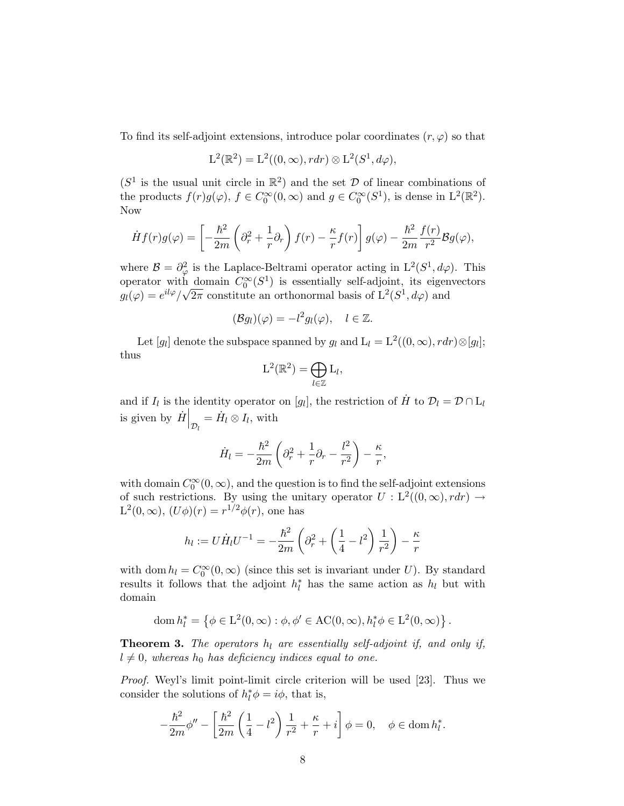To find its self-adjoint extensions, introduce polar coordinates  $(r, \varphi)$  so that

$$
L^{2}(\mathbb{R}^{2}) = L^{2}((0, \infty), rdr) \otimes L^{2}(S^{1}, d\varphi),
$$

 $(S^1$  is the usual unit circle in  $\mathbb{R}^2$  and the set D of linear combinations of the products  $f(r)g(\varphi)$ ,  $f \in C_0^{\infty}(0, \infty)$  and  $g \in C_0^{\infty}(S^1)$ , is dense in  $L^2(\mathbb{R}^2)$ . Now

$$
\dot{H}f(r)g(\varphi) = \left[ -\frac{\hbar^2}{2m} \left( \partial_r^2 + \frac{1}{r} \partial_r \right) f(r) - \frac{\kappa}{r} f(r) \right] g(\varphi) - \frac{\hbar^2}{2m} \frac{f(r)}{r^2} \mathcal{B}g(\varphi),
$$

where  $\mathcal{B} = \partial_{\varphi}^2$  is the Laplace-Beltrami operator acting in  $L^2(S^1, d\varphi)$ . This operator with domain  $C_0^{\infty}(S^1)$  is essentially self-adjoint, its eigenvectors  $g_l(\varphi) = e^{il\varphi}/\sqrt{2\pi}$  constitute an orthonormal basis of  $L^2(S^1, d\varphi)$  and

$$
(\mathcal{B}g_l)(\varphi) = -l^2 g_l(\varphi), \quad l \in \mathbb{Z}.
$$

Let [g<sub>l</sub>] denote the subspace spanned by  $g_l$  and  $L_l = L^2((0, \infty), r dr) \otimes [g_l]$ ; thus

$$
\mathrm{L}^2(\mathbb{R}^2) = \bigoplus_{l \in \mathbb{Z}} \mathrm{L}_l,
$$

and if  $I_l$  is the identity operator on [g<sub>l</sub>], the restriction of  $\dot{H}$  to  $\mathcal{D}_l = \mathcal{D} \cap L_l$ is given by  $\left. \dot{H} \right|_{\mathcal{D}_l} = \dot{H}_l \otimes I_l$ , with

$$
\dot{H}_l = -\frac{\hbar^2}{2m} \left( \partial_r^2 + \frac{1}{r} \partial_r - \frac{l^2}{r^2} \right) - \frac{\kappa}{r},
$$

with domain  $C_0^{\infty}(0,\infty)$ , and the question is to find the self-adjoint extensions of such restrictions. By using the unitary operator  $U : L^2((0,\infty), r dr) \rightarrow$  $L^2(0,\infty)$ ,  $(U\phi)(r) = r^{1/2}\phi(r)$ , one has

$$
h_l := U \dot{H}_l U^{-1} = -\frac{\hbar^2}{2m} \left( \partial_r^2 + \left( \frac{1}{4} - l^2 \right) \frac{1}{r^2} \right) - \frac{\kappa}{r}
$$

with dom  $h_l = C_0^{\infty}(0, \infty)$  (since this set is invariant under U). By standard results it follows that the adjoint  $h_l^*$  has the same action as  $h_l$  but with domain

$$
\text{dom } h_l^* = \left\{ \phi \in \mathcal{L}^2(0, \infty) : \phi, \phi' \in \mathcal{AC}(0, \infty), h_l^* \phi \in \mathcal{L}^2(0, \infty) \right\}.
$$

**Theorem 3.** The operators  $h_l$  are essentially self-adjoint if, and only if,  $l \neq 0$ , whereas  $h_0$  has deficiency indices equal to one.

*Proof.* Weyl's limit point-limit circle criterion will be used [23]. Thus we consider the solutions of  $h_l^* \phi = i\phi$ , that is,

$$
-\frac{\hbar^2}{2m}\phi'' - \left[\frac{\hbar^2}{2m}\left(\frac{1}{4} - l^2\right)\frac{1}{r^2} + \frac{\kappa}{r} + i\right]\phi = 0, \quad \phi \in \text{dom}\, h_l^*.
$$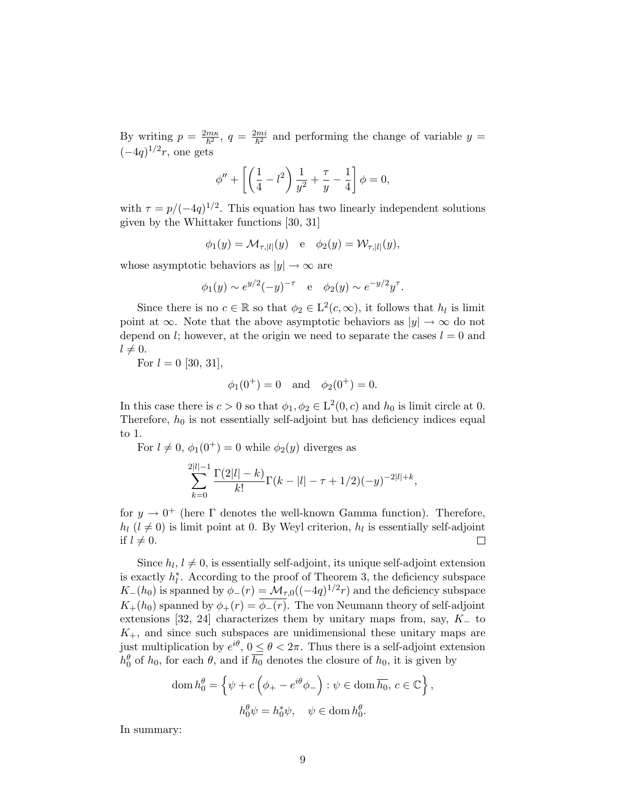By writing  $p = \frac{2m\kappa}{\hbar^2}$ ,  $q = \frac{2mi}{\hbar^2}$  and performing the change of variable  $y =$  $(-4q)^{1/2}r$ , one gets

$$
\phi'' + \left[ \left( \frac{1}{4} - l^2 \right) \frac{1}{y^2} + \frac{\tau}{y} - \frac{1}{4} \right] \phi = 0,
$$

with  $\tau = p/(-4q)^{1/2}$ . This equation has two linearly independent solutions given by the Whittaker functions [30, 31]

$$
\phi_1(y) = \mathcal{M}_{\tau,|l|}(y) \quad \text{e} \quad \phi_2(y) = \mathcal{W}_{\tau,|l|}(y),
$$

whose asymptotic behaviors as  $|y| \to \infty$  are

$$
\phi_1(y) \sim e^{y/2}(-y)^{-\tau}
$$
 e  $\phi_2(y) \sim e^{-y/2}y^{\tau}$ .

Since there is no  $c \in \mathbb{R}$  so that  $\phi_2 \in L^2(c,\infty)$ , it follows that  $h_l$  is limit point at  $\infty$ . Note that the above asymptotic behaviors as  $|y| \to \infty$  do not depend on l; however, at the origin we need to separate the cases  $l = 0$  and  $l \neq 0.$ 

For  $l = 0$  [30, 31],

$$
\phi_1(0^+) = 0
$$
 and  $\phi_2(0^+) = 0$ .

In this case there is  $c > 0$  so that  $\phi_1, \phi_2 \in L^2(0, c)$  and  $h_0$  is limit circle at 0. Therefore,  $h_0$  is not essentially self-adjoint but has deficiency indices equal to 1.

For  $l \neq 0$ ,  $\phi_1(0^+) = 0$  while  $\phi_2(y)$  diverges as

$$
\sum_{k=0}^{2|l|-1} \frac{\Gamma(2|l|-k)}{k!} \Gamma(k-|l|-\tau+1/2)(-y)^{-2|l|+k},
$$

for  $y \to 0^+$  (here  $\Gamma$  denotes the well-known Gamma function). Therefore,  $h_l$  ( $l \neq 0$ ) is limit point at 0. By Weyl criterion,  $h_l$  is essentially self-adjoint if  $l \neq 0$ . if  $l \neq 0$ .

Since  $h_l$ ,  $l \neq 0$ , is essentially self-adjoint, its unique self-adjoint extension is exactly  $h_l^*$ . According to the proof of Theorem 3, the deficiency subspace  $K_-(h_0)$  is spanned by  $\phi_-(r) = \mathcal{M}_{\tau,0}((-4q)^{1/2}r)$  and the deficiency subspace  $K_{+}(h_0)$  spanned by  $\phi_{+}(r) = \overline{\phi_{-}(r)}$ . The von Neumann theory of self-adjoint extensions [32, 24] characterizes them by unitary maps from, say,  $K_-\$  to  $K_{+}$ , and since such subspaces are unidimensional these unitary maps are just multiplication by  $e^{i\theta}$ ,  $0 \le \theta < 2\pi$ . Thus there is a self-adjoint extension  $h_0^{\theta}$  of  $h_0$ , for each  $\theta$ , and if  $\overline{h_0}$  denotes the closure of  $h_0$ , it is given by

$$
\operatorname{dom} h_0^{\theta} = \left\{ \psi + c \left( \phi_+ - e^{i\theta} \phi_- \right) : \psi \in \operatorname{dom} \overline{h_0}, c \in \mathbb{C} \right\},\
$$
  

$$
h_0^{\theta} \psi = h_0^* \psi, \quad \psi \in \operatorname{dom} h_0^{\theta}.
$$

In summary: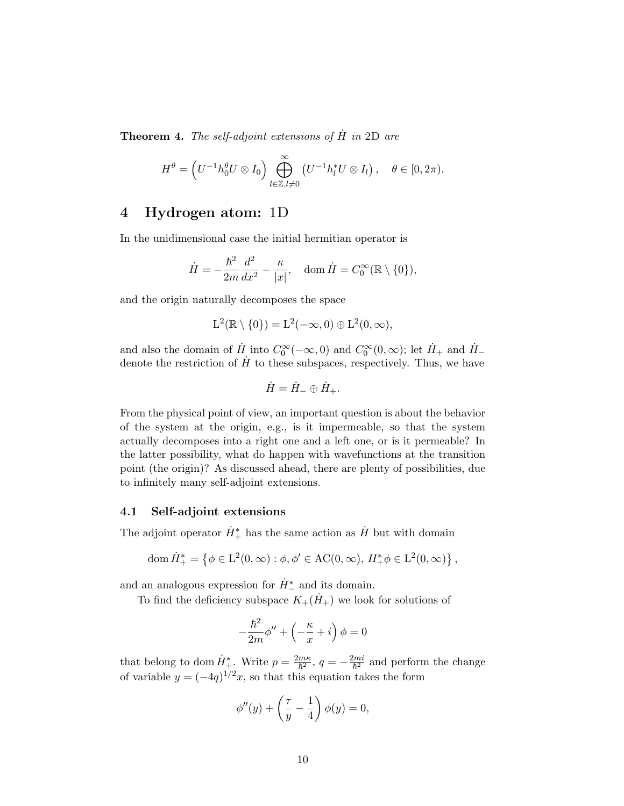**Theorem 4.** The self-adjoint extensions of  $\hat{H}$  in 2D are

$$
H^{\theta} = \left( U^{-1} h_0^{\theta} U \otimes I_0 \right) \bigoplus_{l \in \mathbb{Z}, l \neq 0}^{\infty} \left( U^{-1} h_l^* U \otimes I_l \right), \quad \theta \in [0, 2\pi).
$$

# 4 Hydrogen atom: 1D

In the unidimensional case the initial hermitian operator is

$$
\dot{H} = -\frac{\hbar^2}{2m}\frac{d^2}{dx^2} - \frac{\kappa}{|x|}, \quad \text{dom}\,\dot{H} = C_0^{\infty}(\mathbb{R}\setminus\{0\}),
$$

and the origin naturally decomposes the space

$$
L^2(\mathbb{R}\setminus\{0\})=L^2(-\infty,0)\oplus L^2(0,\infty),
$$

and also the domain of  $\dot{H}$  into  $C_0^{\infty}(-\infty, 0)$  and  $C_0^{\infty}(0, \infty)$ ; let  $\dot{H}_+$  and  $\dot{H}_$ denote the restriction of  $\hat{H}$  to these subspaces, respectively. Thus, we have

$$
\dot{H} = \dot{H}_{-} \oplus \dot{H}_{+}.
$$

From the physical point of view, an important question is about the behavior of the system at the origin, e.g., is it impermeable, so that the system actually decomposes into a right one and a left one, or is it permeable? In the latter possibility, what do happen with wavefunctions at the transition point (the origin)? As discussed ahead, there are plenty of possibilities, due to infinitely many self-adjoint extensions.

### 4.1 Self-adjoint extensions

The adjoint operator  $\dot{H}_{+}^{*}$  has the same action as  $\dot{H}$  but with domain

dom 
$$
\dot{H}^*_{+} = \{ \phi \in L^2(0, \infty) : \phi, \phi' \in \mathrm{AC}(0, \infty), H^*_{+} \phi \in L^2(0, \infty) \},\
$$

and an analogous expression for  $\dot{H}^*_-$  and its domain.

To find the deficiency subspace  $K_{+}(\dot{H}_{+})$  we look for solutions of

$$
-\frac{\hbar^2}{2m}\phi'' + \left(-\frac{\kappa}{x} + i\right)\phi = 0
$$

that belong to dom  $\dot{H}^*_{+}$ . Write  $p = \frac{2m\kappa}{\hbar^2}$ ,  $q = -\frac{2mi}{\hbar^2}$  and perform the change of variable  $y = (-4q)^{1/2}x$ , so that this equation takes the form

$$
\phi''(y) + \left(\frac{\tau}{y} - \frac{1}{4}\right)\phi(y) = 0,
$$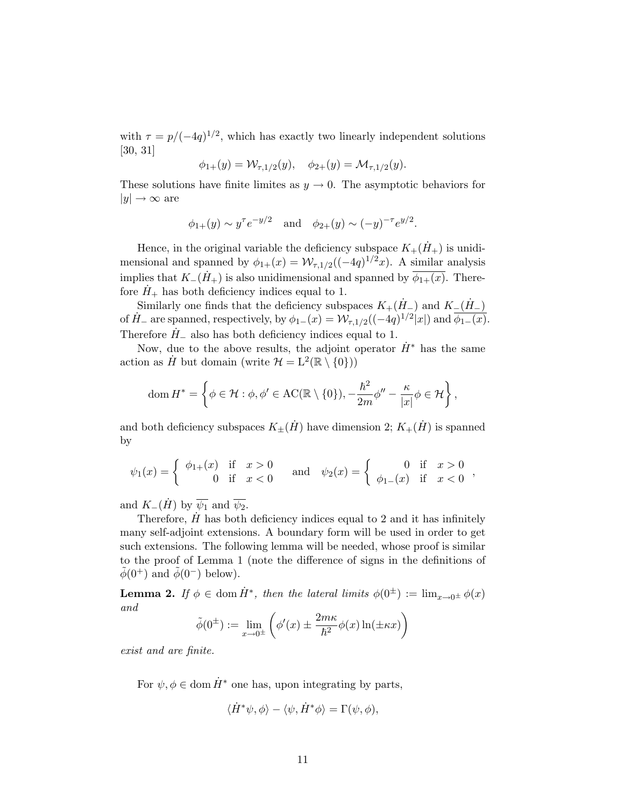with  $\tau = p/(-4q)^{1/2}$ , which has exactly two linearly independent solutions [30, 31]

$$
\phi_{1+}(y) = \mathcal{W}_{\tau,1/2}(y), \quad \phi_{2+}(y) = \mathcal{M}_{\tau,1/2}(y).
$$

These solutions have finite limites as  $y \to 0$ . The asymptotic behaviors for  $|y| \rightarrow \infty$  are

$$
\phi_{1+}(y) \sim y^{\tau} e^{-y/2}
$$
 and  $\phi_{2+}(y) \sim (-y)^{-\tau} e^{y/2}$ .

Hence, in the original variable the deficiency subspace  $K_{+}(\dot{H}_{+})$  is unidimensional and spanned by  $\phi_{1+}(x) = \mathcal{W}_{\tau,1/2}((-4q)^{1/2}x)$ . A similar analysis implies that  $K_-(\dot{H}_+)$  is also unidimensional and spanned by  $\overline{\phi_{1+}(x)}$ . Therefore  $H_+$  has both deficiency indices equal to 1.

Similarly one finds that the deficiency subspaces  $K_+(\dot H_-)$  and  $K_-(\dot H_-)$ of  $H_{-}$  are spanned, respectively, by  $\phi_{1-}(x) = \mathcal{W}_{\tau,1/2}((-4q)^{1/2}|x|)$  and  $\phi_{1-}(x)$ . Therefore  $H_-\$ also has both deficiency indices equal to 1.

Now, due to the above results, the adjoint operator  $\dot{H}^*$  has the same action as  $\hat{H}$  but domain (write  $\mathcal{H} = L^2(\mathbb{R} \setminus \{0\})$ )

dom 
$$
H^* = \left\{ \phi \in \mathcal{H} : \phi, \phi' \in \mathrm{AC}(\mathbb{R} \setminus \{0\}), -\frac{\hbar^2}{2m} \phi'' - \frac{\kappa}{|x|} \phi \in \mathcal{H} \right\},\
$$

and both deficiency subspaces  $K_{+}(\dot{H})$  have dimension 2;  $K_{+}(\dot{H})$  is spanned by

$$
\psi_1(x) = \begin{cases} \phi_{1+}(x) & \text{if } x > 0 \\ 0 & \text{if } x < 0 \end{cases} \quad \text{and} \quad \psi_2(x) = \begin{cases} 0 & \text{if } x > 0 \\ \phi_{1-}(x) & \text{if } x < 0 \end{cases},
$$

and  $K_{-}(\dot{H})$  by  $\overline{\psi_1}$  and  $\overline{\psi_2}$ .

Therefore,  $H$  has both deficiency indices equal to 2 and it has infinitely many self-adjoint extensions. A boundary form will be used in order to get such extensions. The following lemma will be needed, whose proof is similar to the proof of Lemma 1 (note the difference of signs in the definitions of  $\ddot{\phi}(0^+)$  and  $\phi(0^-)$  below).

**Lemma 2.** If  $\phi \in \text{dom } \dot{H}^*$ , then the lateral limits  $\phi(0^{\pm}) := \lim_{x \to 0^{\pm}} \phi(x)$ and

$$
\tilde{\phi}(0^{\pm}):=\lim_{x\to 0^{\pm}}\left(\phi'(x)\pm\frac{2m\kappa}{\hbar^2}\phi(x)\ln(\pm\kappa x)\right)
$$

exist and are finite.

For  $\psi, \phi \in \text{dom } \dot{H}^*$  one has, upon integrating by parts,

$$
\langle \dot{H}^* \psi, \phi \rangle - \langle \psi, \dot{H}^* \phi \rangle = \Gamma(\psi, \phi),
$$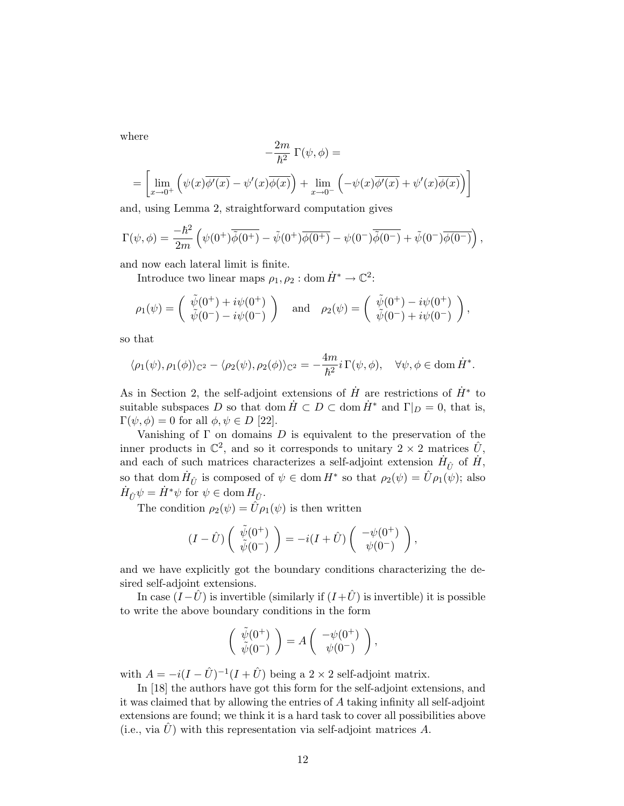where

$$
-\frac{2m}{\hbar^2} \Gamma(\psi, \phi) =
$$
  
= 
$$
\left[ \lim_{x \to 0^+} \left( \psi(x) \overline{\phi'(x)} - \psi'(x) \overline{\phi(x)} \right) + \lim_{x \to 0^-} \left( -\psi(x) \overline{\phi'(x)} + \psi'(x) \overline{\phi(x)} \right) \right]
$$

and, using Lemma 2, straightforward computation gives

$$
\Gamma(\psi,\phi) = \frac{-\hbar^2}{2m} \left( \psi(0^+) \overline{\tilde{\phi}(0^+)} - \tilde{\psi}(0^+) \overline{\phi(0^+)} - \psi(0^-) \overline{\tilde{\phi}(0^-)} + \tilde{\psi}(0^-) \overline{\phi(0^-)} \right),
$$

and now each lateral limit is finite.

Introduce two linear maps  $\rho_1, \rho_2: {\rm dom}\,\dot{H}^* \to \mathbb{C}^2;$ 

$$
\rho_1(\psi) = \begin{pmatrix} \tilde{\psi}(0^+) + i\psi(0^+) \\ \tilde{\psi}(0^-) - i\psi(0^-) \end{pmatrix} \quad \text{and} \quad \rho_2(\psi) = \begin{pmatrix} \tilde{\psi}(0^+) - i\psi(0^+) \\ \tilde{\psi}(0^-) + i\psi(0^-) \end{pmatrix},
$$

so that

$$
\langle \rho_1(\psi), \rho_1(\phi) \rangle_{\mathbb{C}^2} - \langle \rho_2(\psi), \rho_2(\phi) \rangle_{\mathbb{C}^2} = -\frac{4m}{\hbar^2} i \,\Gamma(\psi, \phi), \quad \forall \psi, \phi \in \text{dom}\, \dot{H}^*.
$$

As in Section 2, the self-adjoint extensions of  $\dot{H}$  are restrictions of  $\dot{H}^*$  to suitable subspaces D so that dom  $H \subset D \subset \text{dom } H^*$  and  $\Gamma|_D = 0$ , that is,  $\Gamma(\psi, \phi) = 0$  for all  $\phi, \psi \in D$  [22].

Vanishing of  $\Gamma$  on domains  $D$  is equivalent to the preservation of the inner products in  $\mathbb{C}^2$ , and so it corresponds to unitary  $2 \times 2$  matrices  $\hat{U}$ , and each of such matrices characterizes a self-adjoint extension  $\dot{H}_{\hat{U}}$  of  $\dot{H}$ , so that dom  $H_{\hat{U}}$  is composed of  $\psi \in \text{dom } H^*$  so that  $\rho_2(\psi) = \hat{U}\rho_1(\psi)$ ; also  $\dot{H}_{\hat{U}}\psi = \dot{H}^*\psi \text{ for } \psi \in \text{dom } H_{\hat{U}}.$ 

The condition  $\rho_2(\psi) = \hat{U}\rho_1(\psi)$  is then written

$$
(I - \hat{U}) \begin{pmatrix} \tilde{\psi}(0^+) \\ \tilde{\psi}(0^-) \end{pmatrix} = -i(I + \hat{U}) \begin{pmatrix} -\psi(0^+) \\ \psi(0^-) \end{pmatrix},
$$

and we have explicitly got the boundary conditions characterizing the desired self-adjoint extensions.

In case  $(I - \hat{U})$  is invertible (similarly if  $(I + \hat{U})$  is invertible) it is possible to write the above boundary conditions in the form

$$
\left(\begin{array}{c} \tilde{\psi}(0^+) \\ \tilde{\psi}(0^-) \end{array}\right) = A \left(\begin{array}{c} -\psi(0^+) \\ \psi(0^-) \end{array}\right),
$$

with  $A = -i(I - \hat{U})^{-1}(I + \hat{U})$  being a 2 × 2 self-adjoint matrix.

In [18] the authors have got this form for the self-adjoint extensions, and it was claimed that by allowing the entries of A taking infinity all self-adjoint extensions are found; we think it is a hard task to cover all possibilities above (i.e., via  $\hat{U}$ ) with this representation via self-adjoint matrices A.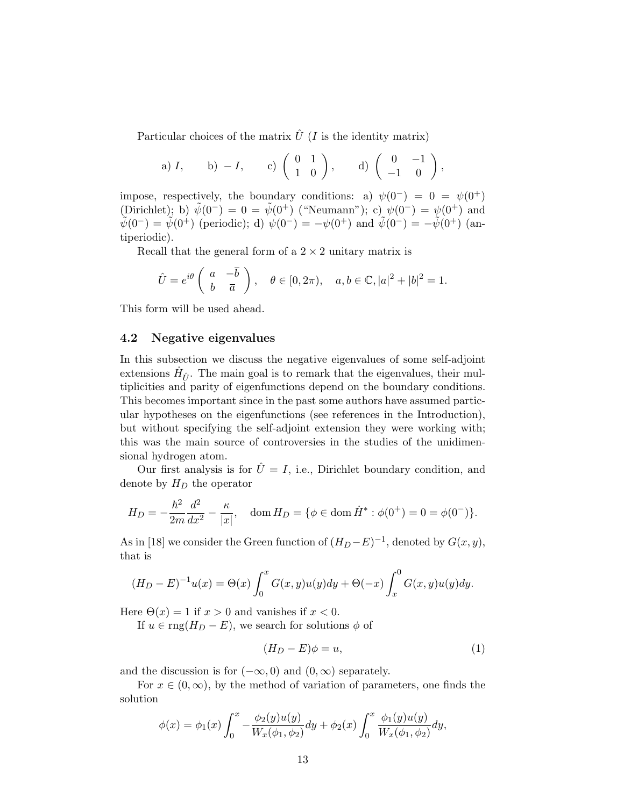Particular choices of the matrix  $\hat{U}$  (*I* is the identity matrix)

a) 
$$
I
$$
, b)  $-I$ , c)  $\begin{pmatrix} 0 & 1 \\ 1 & 0 \end{pmatrix}$ , d)  $\begin{pmatrix} 0 & -1 \\ -1 & 0 \end{pmatrix}$ ,

impose, respectively, the boundary conditions: a)  $\psi(0^-) = 0 = \psi(0^+)$ (Dirichlet); b)  $\tilde{\psi}(0^-) = 0 = \tilde{\psi}(0^+)$  ("Neumann"); c)  $\psi(0^-) = \psi(0^+)$  and  $\tilde{\psi}(0^-) = \tilde{\psi}(0^+)$  (periodic); d)  $\psi(0^-) = -\psi(0^+)$  and  $\tilde{\psi}(0^-) = -\tilde{\psi}(0^+)$  (antiperiodic).

Recall that the general form of a  $2 \times 2$  unitary matrix is

$$
\hat{U} = e^{i\theta} \begin{pmatrix} a & -\overline{b} \\ b & \overline{a} \end{pmatrix}, \quad \theta \in [0, 2\pi), \quad a, b \in \mathbb{C}, |a|^2 + |b|^2 = 1.
$$

This form will be used ahead.

#### 4.2 Negative eigenvalues

In this subsection we discuss the negative eigenvalues of some self-adjoint extensions  $\dot{H}_{\hat{U}}$ . The main goal is to remark that the eigenvalues, their multiplicities and parity of eigenfunctions depend on the boundary conditions. This becomes important since in the past some authors have assumed particular hypotheses on the eigenfunctions (see references in the Introduction), but without specifying the self-adjoint extension they were working with; this was the main source of controversies in the studies of the unidimensional hydrogen atom.

Our first analysis is for  $\hat{U} = I$ , i.e., Dirichlet boundary condition, and denote by  $H_D$  the operator

$$
H_D = -\frac{\hbar^2}{2m} \frac{d^2}{dx^2} - \frac{\kappa}{|x|}, \quad \text{dom}\, H_D = \{ \phi \in \text{dom}\, \dot{H}^* : \phi(0^+) = 0 = \phi(0^-) \}.
$$

As in [18] we consider the Green function of  $(H_D - E)^{-1}$ , denoted by  $G(x, y)$ , that is

$$
(H_D - E)^{-1}u(x) = \Theta(x) \int_0^x G(x, y)u(y)dy + \Theta(-x) \int_x^0 G(x, y)u(y)dy.
$$

Here  $\Theta(x) = 1$  if  $x > 0$  and vanishes if  $x < 0$ .

If  $u \in \text{rng}(H_D - E)$ , we search for solutions  $\phi$  of

$$
(H_D - E)\phi = u,\t\t(1)
$$

and the discussion is for  $(-\infty, 0)$  and  $(0, \infty)$  separately.

For  $x \in (0, \infty)$ , by the method of variation of parameters, one finds the solution

$$
\phi(x) = \phi_1(x) \int_0^x -\frac{\phi_2(y)u(y)}{W_x(\phi_1, \phi_2)} dy + \phi_2(x) \int_0^x \frac{\phi_1(y)u(y)}{W_x(\phi_1, \phi_2)} dy,
$$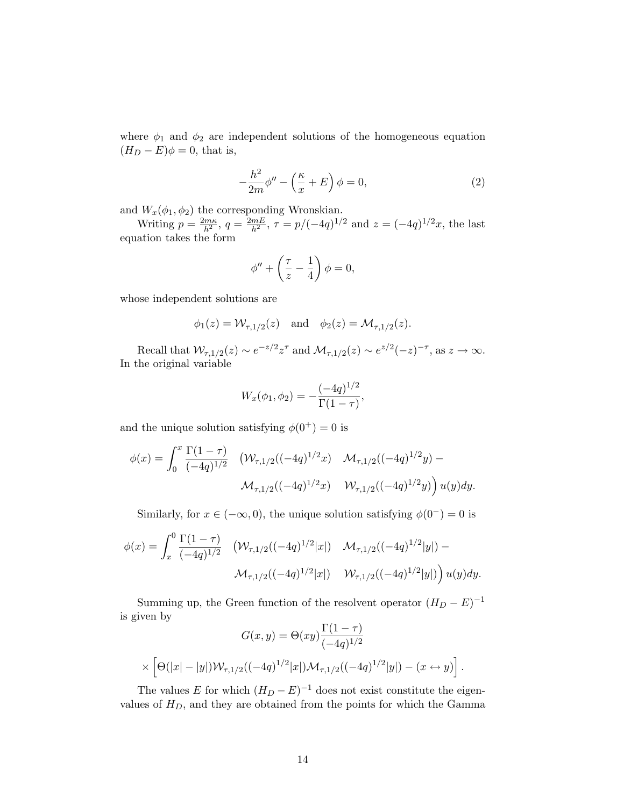where  $\phi_1$  and  $\phi_2$  are independent solutions of the homogeneous equation  $(H_D - E)\phi = 0$ , that is,

$$
-\frac{h^2}{2m}\phi'' - \left(\frac{\kappa}{x} + E\right)\phi = 0,\tag{2}
$$

and  $W_x(\phi_1, \phi_2)$  the corresponding Wronskian.

Writing  $p = \frac{2m\kappa}{h^2}$ ,  $q = \frac{2mE}{h^2}$ ,  $\tau = p/(-4q)^{1/2}$  and  $z = (-4q)^{1/2}x$ , the last equation takes the form

$$
\phi'' + \left(\frac{\tau}{z} - \frac{1}{4}\right)\phi = 0,
$$

whose independent solutions are

$$
\phi_1(z) = \mathcal{W}_{\tau,1/2}(z)
$$
 and  $\phi_2(z) = \mathcal{M}_{\tau,1/2}(z)$ .

Recall that  $\mathcal{W}_{\tau,1/2}(z) \sim e^{-z/2} z^{\tau}$  and  $\mathcal{M}_{\tau,1/2}(z) \sim e^{z/2}(-z)^{-\tau}$ , as  $z \to \infty$ . In the original variable

$$
W_x(\phi_1, \phi_2) = -\frac{(-4q)^{1/2}}{\Gamma(1-\tau)},
$$

and the unique solution satisfying  $\phi(0^+) = 0$  is

$$
\phi(x) = \int_0^x \frac{\Gamma(1-\tau)}{(-4q)^{1/2}} \left( \mathcal{W}_{\tau,1/2}((-4q)^{1/2}x) \mathcal{M}_{\tau,1/2}((-4q)^{1/2}y) - \mathcal{M}_{\tau,1/2}((-4q)^{1/2}x) \mathcal{W}_{\tau,1/2}((-4q)^{1/2}y) \right) u(y) dy.
$$

Similarly, for  $x \in (-\infty, 0)$ , the unique solution satisfying  $\phi(0^-) = 0$  is

$$
\phi(x) = \int_x^0 \frac{\Gamma(1-\tau)}{(-4q)^{1/2}} \left( \mathcal{W}_{\tau,1/2}((-4q)^{1/2}|x|) - \mathcal{M}_{\tau,1/2}((-4q)^{1/2}|y|) - \mathcal{M}_{\tau,1/2}((-4q)^{1/2}|x|) - \mathcal{W}_{\tau,1/2}((-4q)^{1/2}|x|) - \mathcal{W}_{\tau,1/2}((-4q)^{1/2}|y|) \right) u(y) dy.
$$

Summing up, the Green function of the resolvent operator  $(H_D - E)^{-1}$ is given by

$$
G(x,y) = \Theta(xy) \frac{\Gamma(1-\tau)}{(-4q)^{1/2}}
$$

$$
\times \left[ \Theta(|x| - |y|) \mathcal{W}_{\tau,1/2}((-4q)^{1/2}|x|) \mathcal{M}_{\tau,1/2}((-4q)^{1/2}|y|) - (x \leftrightarrow y) \right].
$$

The values E for which  $(H_D - E)^{-1}$  does not exist constitute the eigenvalues of  $H_D$ , and they are obtained from the points for which the Gamma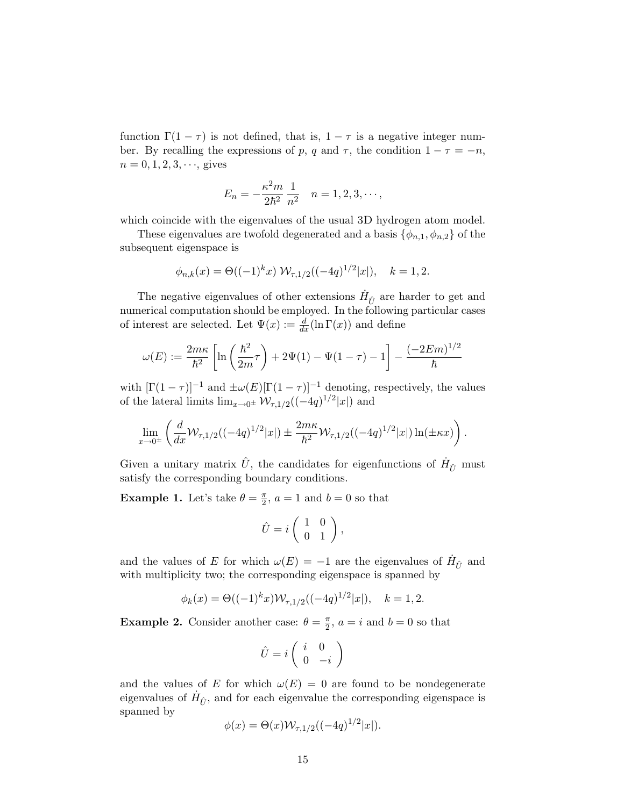function  $\Gamma(1 - \tau)$  is not defined, that is,  $1 - \tau$  is a negative integer number. By recalling the expressions of p, q and  $\tau$ , the condition  $1 - \tau = -n$ ,  $n = 0, 1, 2, 3, \dots$ , gives

$$
E_n = -\frac{\kappa^2 m}{2\hbar^2} \frac{1}{n^2} \quad n = 1, 2, 3, \cdots,
$$

which coincide with the eigenvalues of the usual 3D hydrogen atom model.

These eigenvalues are twofold degenerated and a basis  $\{\phi_{n,1}, \phi_{n,2}\}$  of the subsequent eigenspace is

$$
\phi_{n,k}(x) = \Theta((-1)^k x) \mathcal{W}_{\tau,1/2}((-4q)^{1/2}|x|), \quad k = 1, 2.
$$

The negative eigenvalues of other extensions  $\dot{H}_{\hat{U}}$  are harder to get and numerical computation should be employed. In the following particular cases of interest are selected. Let  $\Psi(x) := \frac{d}{dx}(\ln \Gamma(x))$  and define

$$
\omega(E) := \frac{2m\kappa}{\hbar^2} \left[ \ln\left(\frac{\hbar^2}{2m}\tau\right) + 2\Psi(1) - \Psi(1-\tau) - 1 \right] - \frac{(-2Em)^{1/2}}{\hbar}
$$

with  $[\Gamma(1 - \tau)]^{-1}$  and  $\pm \omega(E) [\Gamma(1 - \tau)]^{-1}$  denoting, respectively, the values of the lateral limits  $\lim_{x\to 0^{\pm}} \mathcal{W}_{\tau,1/2}((-4q)^{1/2}|x|)$  and

$$
\lim_{x \to 0^{\pm}} \left( \frac{d}{dx} \mathcal{W}_{\tau,1/2}((-4q)^{1/2} |x|) \pm \frac{2m\kappa}{\hbar^2} \mathcal{W}_{\tau,1/2}((-4q)^{1/2} |x|) \ln(\pm \kappa x) \right).
$$

Given a unitary matrix  $\hat{U}$ , the candidates for eigenfunctions of  $\dot{H}_{\hat{U}}$  must satisfy the corresponding boundary conditions.

**Example 1.** Let's take  $\theta = \frac{\pi}{2}$ ,  $a = 1$  and  $b = 0$  so that

$$
\hat{U} = i \left( \begin{array}{cc} 1 & 0 \\ 0 & 1 \end{array} \right),
$$

and the values of E for which  $\omega(E) = -1$  are the eigenvalues of  $H_{\hat{U}}$  and with multiplicity two; the corresponding eigenspace is spanned by

$$
\phi_k(x) = \Theta((-1)^k x) \mathcal{W}_{\tau,1/2}((-4q)^{1/2}|x|), \quad k = 1, 2.
$$

**Example 2.** Consider another case:  $\theta = \frac{\pi}{2}$ ,  $a = i$  and  $b = 0$  so that

$$
\hat{U} = i \left( \begin{array}{cc} i & 0 \\ 0 & -i \end{array} \right)
$$

and the values of E for which  $\omega(E) = 0$  are found to be nondegenerate eigenvalues of  $\dot{H}_{\hat{U}}$ , and for each eigenvalue the corresponding eigenspace is spanned by

$$
\phi(x) = \Theta(x) \mathcal{W}_{\tau,1/2}((-4q)^{1/2}|x|).
$$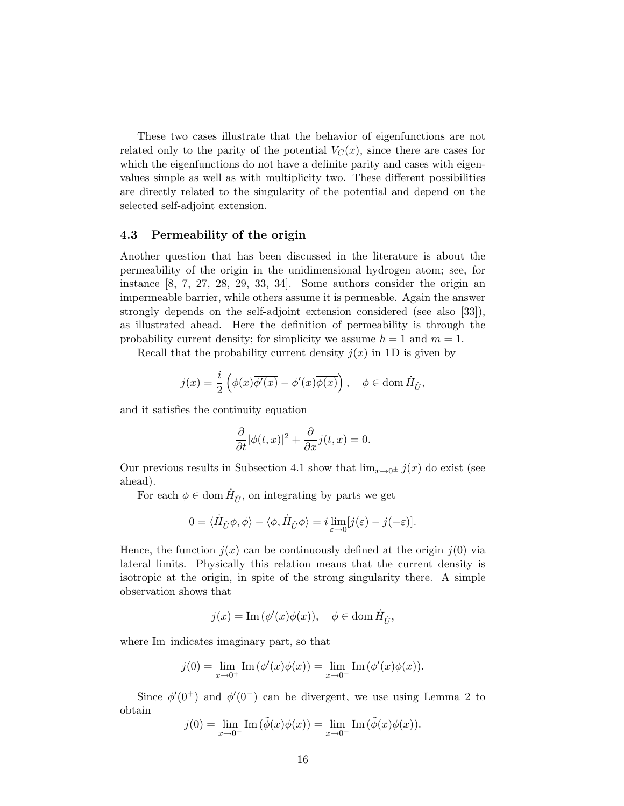These two cases illustrate that the behavior of eigenfunctions are not related only to the parity of the potential  $V_C(x)$ , since there are cases for which the eigenfunctions do not have a definite parity and cases with eigenvalues simple as well as with multiplicity two. These different possibilities are directly related to the singularity of the potential and depend on the selected self-adjoint extension.

### 4.3 Permeability of the origin

Another question that has been discussed in the literature is about the permeability of the origin in the unidimensional hydrogen atom; see, for instance [8, 7, 27, 28, 29, 33, 34]. Some authors consider the origin an impermeable barrier, while others assume it is permeable. Again the answer strongly depends on the self-adjoint extension considered (see also [33]), as illustrated ahead. Here the definition of permeability is through the probability current density; for simplicity we assume  $\hbar = 1$  and  $m = 1$ .

Recall that the probability current density  $j(x)$  in 1D is given by

$$
j(x) = \frac{i}{2} \left( \phi(x) \overline{\phi'(x)} - \phi'(x) \overline{\phi(x)} \right), \quad \phi \in \text{dom}\, \dot{H}_{\hat{U}},
$$

and it satisfies the continuity equation

$$
\frac{\partial}{\partial t}|\phi(t,x)|^2 + \frac{\partial}{\partial x}j(t,x) = 0.
$$

Our previous results in Subsection 4.1 show that  $\lim_{x\to 0^{\pm}} j(x)$  do exist (see ahead).

For each  $\phi \in \text{dom } \dot{H}_{\hat{U}}$ , on integrating by parts we get

$$
0 = \langle \dot{H}_{\hat{U}} \phi, \phi \rangle - \langle \phi, \dot{H}_{\hat{U}} \phi \rangle = i \lim_{\varepsilon \to 0} [j(\varepsilon) - j(-\varepsilon)].
$$

Hence, the function  $j(x)$  can be continuously defined at the origin  $j(0)$  via lateral limits. Physically this relation means that the current density is isotropic at the origin, in spite of the strong singularity there. A simple observation shows that

$$
j(x)=\mathrm{Im}\,(\phi'(x)\overline{\phi(x)}),\quad \phi\in\mathrm{dom}\, \dot{H}_{\hat{U}},
$$

where Im indicates imaginary part, so that

$$
j(0) = \lim_{x \to 0^+} \operatorname{Im} (\phi'(x)\overline{\phi(x)}) = \lim_{x \to 0^-} \operatorname{Im} (\phi'(x)\overline{\phi(x)}).
$$

Since  $\phi'(0^+)$  and  $\phi'(0^-)$  can be divergent, we use using Lemma 2 to obtain

$$
j(0) = \lim_{x \to 0^+} \text{Im}(\tilde{\phi}(x)\overline{\phi(x)}) = \lim_{x \to 0^-} \text{Im}(\tilde{\phi}(x)\overline{\phi(x)}).
$$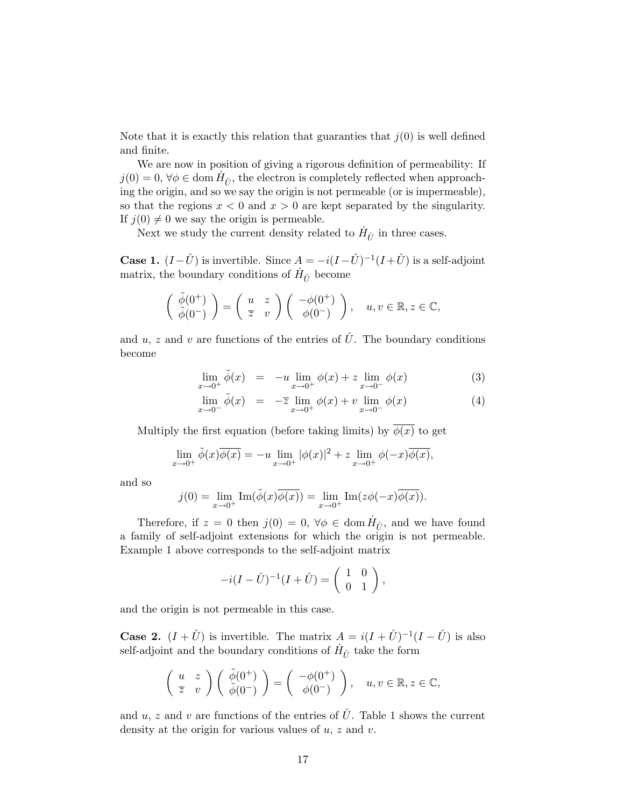Note that it is exactly this relation that guaranties that  $j(0)$  is well defined and finite.

We are now in position of giving a rigorous definition of permeability: If  $j(0) = 0, \forall \phi \in \text{dom } \dot{H}_{\hat{U}}$ , the electron is completely reflected when approaching the origin, and so we say the origin is not permeable (or is impermeable), so that the regions  $x < 0$  and  $x > 0$  are kept separated by the singularity. If  $j(0) \neq 0$  we say the origin is permeable.

Next we study the current density related to  $\dot{H}_{\hat{U}}$  in three cases.

**Case 1.**  $(I - \hat{U})$  is invertible. Since  $A = -i(I - \hat{U})^{-1}(I + \hat{U})$  is a self-adjoint matrix, the boundary conditions of  $\dot{H}_{\hat{U}}$  become

$$
\begin{pmatrix}\n\tilde{\phi}(0^+) \\
\tilde{\phi}(0^-)\n\end{pmatrix} = \begin{pmatrix}\nu & z \\
\overline{z} & v\n\end{pmatrix} \begin{pmatrix}\n-\phi(0^+) \\
\phi(0^-)\n\end{pmatrix}, \quad u, v \in \mathbb{R}, z \in \mathbb{C},
$$

and u, z and v are functions of the entries of  $\hat{U}$ . The boundary conditions become

$$
\lim_{x \to 0^+} \tilde{\phi}(x) = -u \lim_{x \to 0^+} \phi(x) + z \lim_{x \to 0^-} \phi(x)
$$
 (3)

$$
\lim_{x \to 0^{-}} \tilde{\phi}(x) = -\overline{z} \lim_{x \to 0^{+}} \phi(x) + v \lim_{x \to 0^{-}} \phi(x)
$$
\n(4)

Multiply the first equation (before taking limits) by  $\overline{\phi(x)}$  to get

$$
\lim_{x \to 0^+} \tilde{\phi}(x)\overline{\phi(x)} = -u \lim_{x \to 0^+} |\phi(x)|^2 + z \lim_{x \to 0^+} \phi(-x)\overline{\phi(x)},
$$

and so

$$
j(0) = \lim_{x \to 0^+} \operatorname{Im}(\tilde{\phi}(x)\overline{\phi(x)}) = \lim_{x \to 0^+} \operatorname{Im}(z\phi(-x)\overline{\phi(x)}).
$$

Therefore, if  $z = 0$  then  $j(0) = 0$ ,  $\forall \phi \in \text{dom } \dot{H}_{\hat{U}}$ , and we have found a family of self-adjoint extensions for which the origin is not permeable. Example 1 above corresponds to the self-adjoint matrix

$$
-i(I - \hat{U})^{-1}(I + \hat{U}) = \begin{pmatrix} 1 & 0 \\ 0 & 1 \end{pmatrix},
$$

and the origin is not permeable in this case.

**Case 2.**  $(I + \hat{U})$  is invertible. The matrix  $A = i(I + \hat{U})^{-1}(I - \hat{U})$  is also self-adjoint and the boundary conditions of  $\dot{H}_{\hat{U}}$  take the form

$$
\left(\begin{array}{cc} u & z \\ \overline{z} & v \end{array}\right) \left(\begin{array}{c} \tilde{\phi}(0^+) \\ \tilde{\phi}(0^-) \end{array}\right) = \left(\begin{array}{c} -\phi(0^+) \\ \phi(0^-) \end{array}\right), \quad u, v \in \mathbb{R}, z \in \mathbb{C},
$$

and u, z and v are functions of the entries of  $\hat{U}$ . Table 1 shows the current density at the origin for various values of  $u, z$  and  $v$ .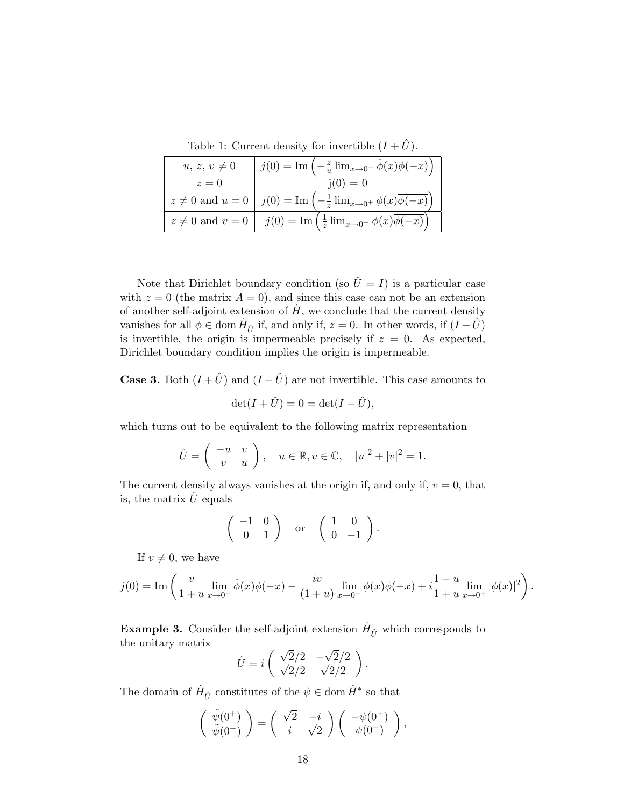Table 1: Current density for invertible  $(I + \hat{U})$ .

| $u, z, v \neq 0$       | $j(0) = \text{Im}(-\frac{z}{u}\lim_{x\to 0^-}\phi(x)\phi(-x))$                             |
|------------------------|--------------------------------------------------------------------------------------------|
| $z=0$                  | $i(0) = 0$                                                                                 |
|                        | $z \neq 0$ and $u = 0$   $j(0) = \text{Im}(-\frac{1}{z}\lim_{x \to 0^+} \phi(x)\phi(-x))$  |
| $z \neq 0$ and $v = 0$ | $j(0) = \text{Im} \left( \frac{1}{\overline{z}} \lim_{x \to 0^-} \phi(x) \phi(-x) \right)$ |

Note that Dirichlet boundary condition (so  $\hat{U} = I$ ) is a particular case with  $z = 0$  (the matrix  $A = 0$ ), and since this case can not be an extension of another self-adjoint extension of  $H$ , we conclude that the current density vanishes for all  $\phi \in \text{dom } \dot{H}_{\hat{U}}$  if, and only if,  $z = 0$ . In other words, if  $(I + \hat{U})$ is invertible, the origin is impermeable precisely if  $z = 0$ . As expected, Dirichlet boundary condition implies the origin is impermeable.

**Case 3.** Both  $(I + \hat{U})$  and  $(I - \hat{U})$  are not invertible. This case amounts to

$$
\det(I+\hat{U})=0=\det(I-\hat{U}),
$$

which turns out to be equivalent to the following matrix representation

$$
\hat{U} = \begin{pmatrix} -u & v \\ \overline{v} & u \end{pmatrix}, \quad u \in \mathbb{R}, v \in \mathbb{C}, \quad |u|^2 + |v|^2 = 1.
$$

The current density always vanishes at the origin if, and only if,  $v = 0$ , that is, the matrix  $\hat{U}$  equals

$$
\left(\begin{array}{cc} -1 & 0 \\ 0 & 1 \end{array}\right) \quad \text{or} \quad \left(\begin{array}{cc} 1 & 0 \\ 0 & -1 \end{array}\right).
$$

If  $v \neq 0$ , we have

$$
j(0) = \text{Im}\left(\frac{v}{1+u}\lim_{x\to 0^-} \tilde{\phi}(x)\overline{\phi(-x)} - \frac{iv}{(1+u)}\lim_{x\to 0^-} \phi(x)\overline{\phi(-x)} + i\frac{1-u}{1+u}\lim_{x\to 0^+} |\phi(x)|^2\right).
$$

**Example 3.** Consider the self-adjoint extension  $\dot{H}_{\hat{U}}$  which corresponds to the unitary matrix

$$
\hat{U} = i \begin{pmatrix} \sqrt{2}/2 & -\sqrt{2}/2 \\ \sqrt{2}/2 & \sqrt{2}/2 \end{pmatrix}.
$$

The domain of  $\dot{H}_{\hat{U}}$  constitutes of the  $\psi \in \text{dom }\dot{H}^*$  so that

$$
\begin{pmatrix}\n\tilde{\psi}(0^+) \\
\tilde{\psi}(0^-)\n\end{pmatrix} = \begin{pmatrix}\n\sqrt{2} & -i \\
i & \sqrt{2}\n\end{pmatrix} \begin{pmatrix}\n-\psi(0^+) \\
\psi(0^-)\n\end{pmatrix},
$$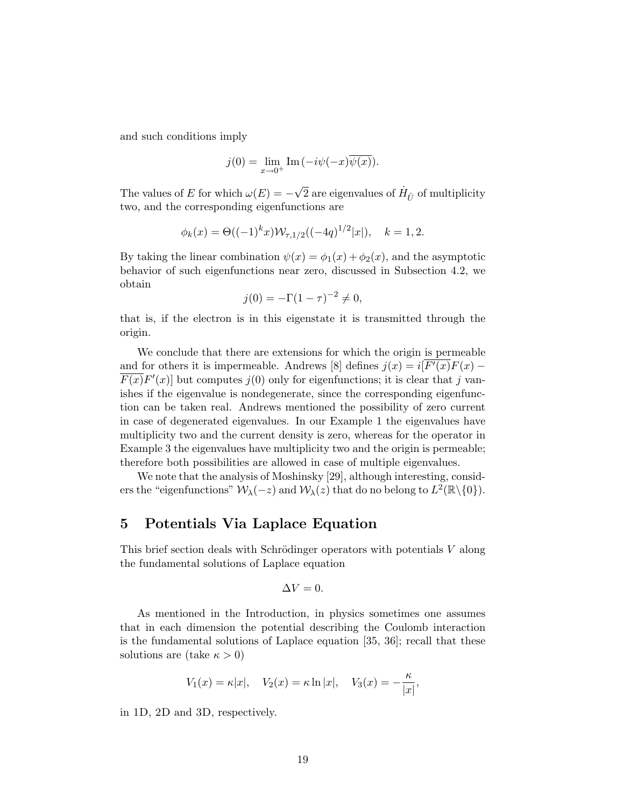and such conditions imply

$$
j(0) = \lim_{x \to 0^+} \operatorname{Im}(-i\psi(-x)\overline{\psi(x)}).
$$

The values of E for which  $\omega(E) = -\sqrt{2}$  are eigenvalues of  $\dot{H}_{\hat{U}}$  of multiplicity two, and the corresponding eigenfunctions are

$$
\phi_k(x) = \Theta((-1)^k x) \mathcal{W}_{\tau,1/2}((-4q)^{1/2}|x|), \quad k = 1, 2.
$$

By taking the linear combination  $\psi(x) = \phi_1(x) + \phi_2(x)$ , and the asymptotic behavior of such eigenfunctions near zero, discussed in Subsection 4.2, we obtain

$$
j(0) = -\Gamma(1 - \tau)^{-2} \neq 0,
$$

that is, if the electron is in this eigenstate it is transmitted through the origin.

We conclude that there are extensions for which the origin is permeable and for others it is impermeable. Andrews [8] defines  $j(x) = i[F'(x)F(x) F(x)F'(x)$  but computes  $j(0)$  only for eigenfunctions; it is clear that j vanishes if the eigenvalue is nondegenerate, since the corresponding eigenfunction can be taken real. Andrews mentioned the possibility of zero current in case of degenerated eigenvalues. In our Example 1 the eigenvalues have multiplicity two and the current density is zero, whereas for the operator in Example 3 the eigenvalues have multiplicity two and the origin is permeable; therefore both possibilities are allowed in case of multiple eigenvalues.

We note that the analysis of Moshinsky [29], although interesting, considers the "eigenfunctions"  $\mathcal{W}_{\lambda}(-z)$  and  $\mathcal{W}_{\lambda}(z)$  that do no belong to  $L^2(\mathbb{R}\setminus\{0\})$ .

# 5 Potentials Via Laplace Equation

This brief section deals with Schrödinger operators with potentials  $V$  along the fundamental solutions of Laplace equation

$$
\Delta V = 0.
$$

As mentioned in the Introduction, in physics sometimes one assumes that in each dimension the potential describing the Coulomb interaction is the fundamental solutions of Laplace equation [35, 36]; recall that these solutions are (take  $\kappa > 0$ )

$$
V_1(x) = \kappa |x|, \quad V_2(x) = \kappa \ln |x|, \quad V_3(x) = -\frac{\kappa}{|x|},
$$

in 1D, 2D and 3D, respectively.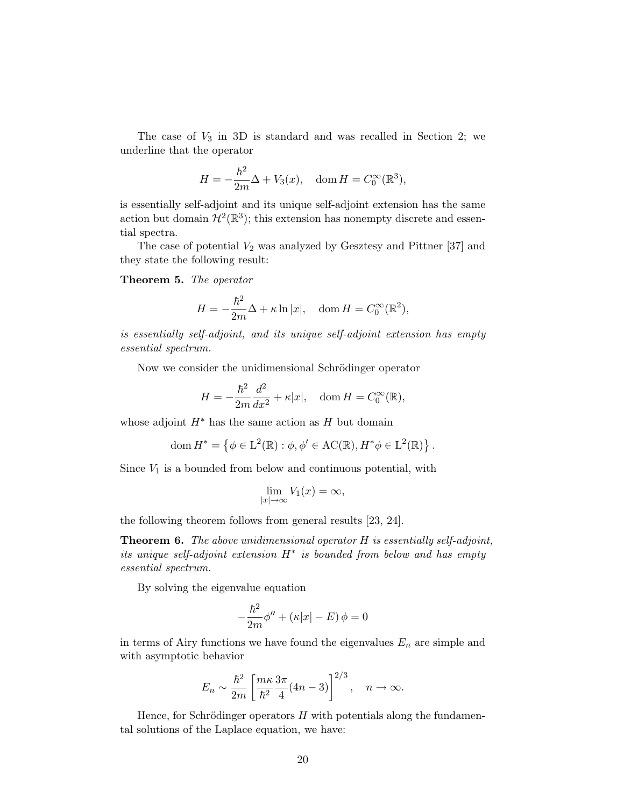The case of  $V_3$  in 3D is standard and was recalled in Section 2; we underline that the operator

$$
H = -\frac{\hbar^2}{2m}\Delta + V_3(x), \quad \text{dom}\, H = C_0^{\infty}(\mathbb{R}^3),
$$

is essentially self-adjoint and its unique self-adjoint extension has the same action but domain  $\mathcal{H}^2(\mathbb{R}^3)$ ; this extension has nonempty discrete and essential spectra.

The case of potential  $V_2$  was analyzed by Gesztesy and Pittner [37] and they state the following result:

### Theorem 5. The operator

$$
H = -\frac{\hbar^2}{2m}\Delta + \kappa \ln|x|, \quad \text{dom}\, H = C_0^{\infty}(\mathbb{R}^2),
$$

is essentially self-adjoint, and its unique self-adjoint extension has empty essential spectrum.

Now we consider the unidimensional Schrödinger operator

$$
H = -\frac{\hbar^2}{2m}\frac{d^2}{dx^2} + \kappa |x|, \quad \text{dom}\, H = C_0^{\infty}(\mathbb{R}),
$$

whose adjoint  $H^*$  has the same action as H but domain

dom 
$$
H^* = \{ \phi \in L^2(\mathbb{R}) : \phi, \phi' \in \mathrm{AC}(\mathbb{R}), H^* \phi \in L^2(\mathbb{R}) \}.
$$

Since  $V_1$  is a bounded from below and continuous potential, with

$$
\lim_{|x| \to \infty} V_1(x) = \infty,
$$

the following theorem follows from general results [23, 24].

**Theorem 6.** The above unidimensional operator  $H$  is essentially self-adjoint, its unique self-adjoint extension  $H^*$  is bounded from below and has empty essential spectrum.

By solving the eigenvalue equation

$$
-\frac{\hbar^2}{2m}\phi'' + (\kappa|x| - E)\phi = 0
$$

in terms of Airy functions we have found the eigenvalues  $E_n$  are simple and with asymptotic behavior

$$
E_n \sim \frac{\hbar^2}{2m} \left[ \frac{m\kappa}{\hbar^2} \frac{3\pi}{4} (4n-3) \right]^{2/3}, \quad n \to \infty.
$$

Hence, for Schrödinger operators  $H$  with potentials along the fundamental solutions of the Laplace equation, we have: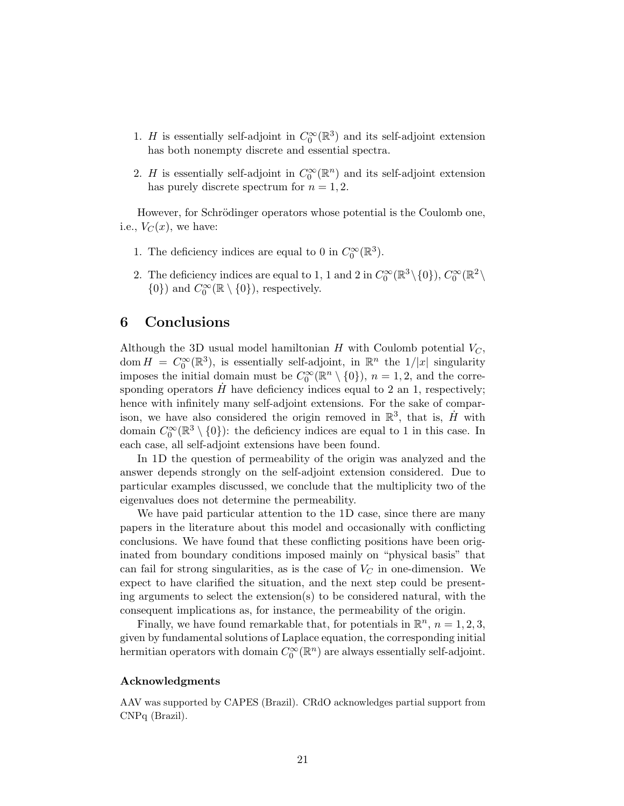- 1. H is essentially self-adjoint in  $C_0^{\infty}(\mathbb{R}^3)$  and its self-adjoint extension has both nonempty discrete and essential spectra.
- 2. H is essentially self-adjoint in  $C_0^{\infty}(\mathbb{R}^n)$  and its self-adjoint extension has purely discrete spectrum for  $n = 1, 2$ .

However, for Schrödinger operators whose potential is the Coulomb one, i.e.,  $V_C(x)$ , we have:

- 1. The deficiency indices are equal to 0 in  $C_0^{\infty}(\mathbb{R}^3)$ .
- 2. The deficiency indices are equal to 1, 1 and 2 in  $C_0^{\infty}(\mathbb{R}^3 \setminus \{0\})$ ,  $C_0^{\infty}(\mathbb{R}^2 \setminus \{0\})$  $\{0\}$  and  $C_0^{\infty}(\mathbb{R} \setminus \{0\})$ , respectively.

# 6 Conclusions

Although the 3D usual model hamiltonian H with Coulomb potential  $V_C$ , dom  $H = C_0^{\infty}(\mathbb{R}^3)$ , is essentially self-adjoint, in  $\mathbb{R}^n$  the  $1/|x|$  singularity imposes the initial domain must be  $C_0^{\infty}(\mathbb{R}^n \setminus \{0\})$ ,  $n = 1, 2$ , and the corresponding operators  $H$  have deficiency indices equal to 2 an 1, respectively; hence with infinitely many self-adjoint extensions. For the sake of comparison, we have also considered the origin removed in  $\mathbb{R}^3$ , that is,  $\dot{H}$  with domain  $C_0^{\infty}(\mathbb{R}^3 \setminus \{0\})$ : the deficiency indices are equal to 1 in this case. In each case, all self-adjoint extensions have been found.

In 1D the question of permeability of the origin was analyzed and the answer depends strongly on the self-adjoint extension considered. Due to particular examples discussed, we conclude that the multiplicity two of the eigenvalues does not determine the permeability.

We have paid particular attention to the 1D case, since there are many papers in the literature about this model and occasionally with conflicting conclusions. We have found that these conflicting positions have been originated from boundary conditions imposed mainly on "physical basis" that can fail for strong singularities, as is the case of  $V_C$  in one-dimension. We expect to have clarified the situation, and the next step could be presenting arguments to select the extension(s) to be considered natural, with the consequent implications as, for instance, the permeability of the origin.

Finally, we have found remarkable that, for potentials in  $\mathbb{R}^n$ ,  $n = 1, 2, 3$ , given by fundamental solutions of Laplace equation, the corresponding initial hermitian operators with domain  $C_0^{\infty}(\mathbb{R}^n)$  are always essentially self-adjoint.

### Acknowledgments

AAV was supported by CAPES (Brazil). CRdO acknowledges partial support from CNPq (Brazil).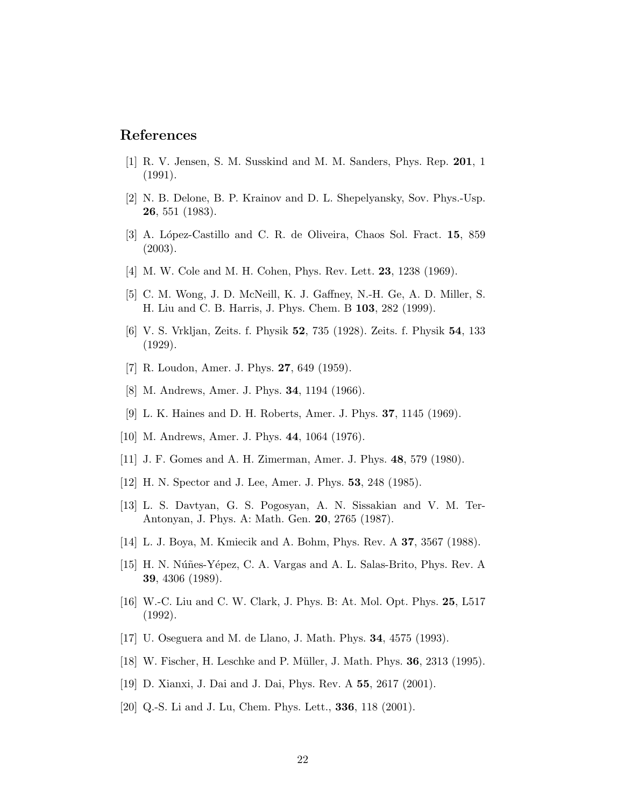# References

- [1] R. V. Jensen, S. M. Susskind and M. M. Sanders, Phys. Rep. 201, 1 (1991).
- [2] N. B. Delone, B. P. Krainov and D. L. Shepelyansky, Sov. Phys.-Usp. 26, 551 (1983).
- [3] A. López-Castillo and C. R. de Oliveira, Chaos Sol. Fract. 15, 859 (2003).
- [4] M. W. Cole and M. H. Cohen, Phys. Rev. Lett. **23**, 1238 (1969).
- [5] C. M. Wong, J. D. McNeill, K. J. Gaffney, N.-H. Ge, A. D. Miller, S. H. Liu and C. B. Harris, J. Phys. Chem. B 103, 282 (1999).
- [6] V. S. Vrkljan, Zeits. f. Physik 52, 735 (1928). Zeits. f. Physik 54, 133 (1929).
- [7] R. Loudon, Amer. J. Phys. 27, 649 (1959).
- [8] M. Andrews, Amer. J. Phys. 34, 1194 (1966).
- [9] L. K. Haines and D. H. Roberts, Amer. J. Phys. 37, 1145 (1969).
- [10] M. Andrews, Amer. J. Phys. 44, 1064 (1976).
- [11] J. F. Gomes and A. H. Zimerman, Amer. J. Phys. 48, 579 (1980).
- [12] H. N. Spector and J. Lee, Amer. J. Phys. 53, 248 (1985).
- [13] L. S. Davtyan, G. S. Pogosyan, A. N. Sissakian and V. M. Ter-Antonyan, J. Phys. A: Math. Gen. 20, 2765 (1987).
- [14] L. J. Boya, M. Kmiecik and A. Bohm, Phys. Rev. A 37, 3567 (1988).
- [15] H. N. Núñes-Yépez, C. A. Vargas and A. L. Salas-Brito, Phys. Rev. A 39, 4306 (1989).
- [16] W.-C. Liu and C. W. Clark, J. Phys. B: At. Mol. Opt. Phys. 25, L517 (1992).
- [17] U. Oseguera and M. de Llano, J. Math. Phys. 34, 4575 (1993).
- [18] W. Fischer, H. Leschke and P. Müller, J. Math. Phys. **36**, 2313 (1995).
- [19] D. Xianxi, J. Dai and J. Dai, Phys. Rev. A 55, 2617 (2001).
- [20] Q.-S. Li and J. Lu, Chem. Phys. Lett., **336**, 118 (2001).